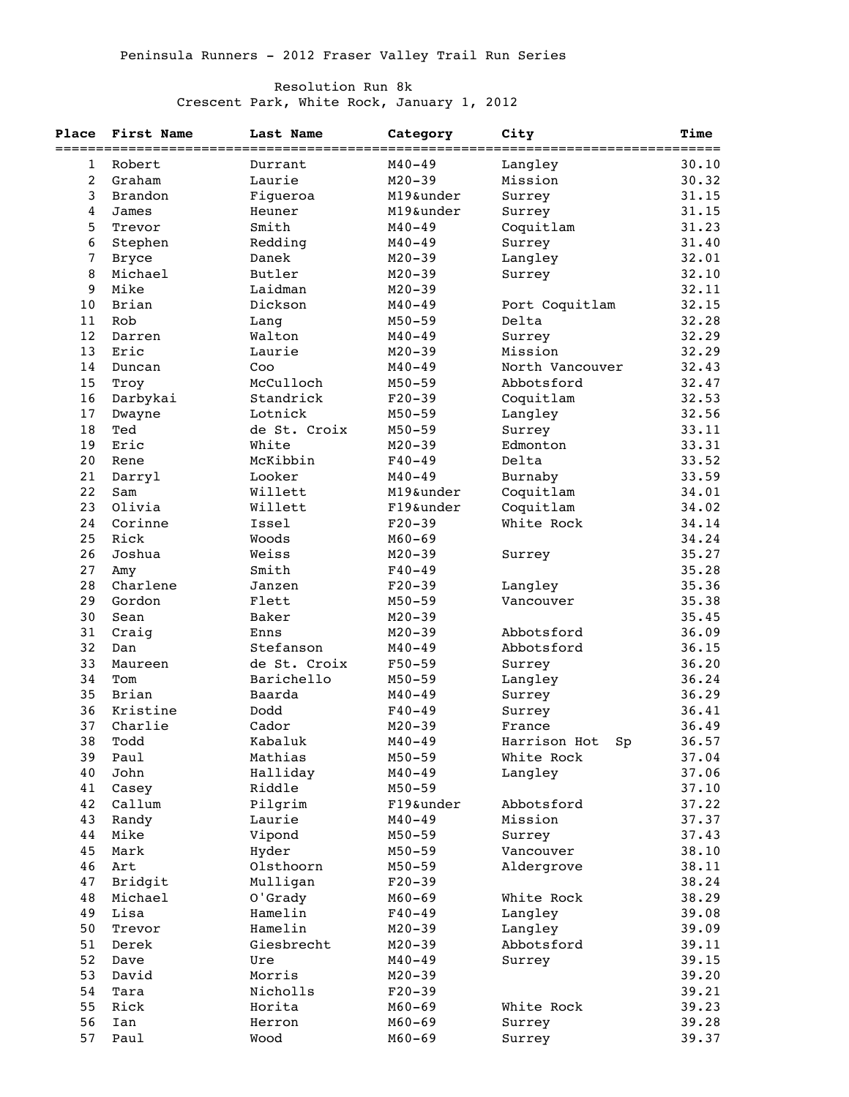## Resolution Run 8k

Crescent Park, White Rock, January 1, 2012

| Place               | First Name      | Last Name          | Category   | City               | Time           |
|---------------------|-----------------|--------------------|------------|--------------------|----------------|
|                     | Robert          |                    | $M40 - 49$ |                    | $===$<br>30.10 |
| 1<br>$\overline{c}$ | Graham          | Durrant<br>Laurie  | $M20 - 39$ | Langley<br>Mission | 30.32          |
| 3                   | Brandon         |                    | M19&under  |                    |                |
|                     |                 | Figueroa           |            | Surrey             | 31.15          |
| 4<br>5              | James           | Heuner             | M19&under  | Surrey             | 31.15          |
|                     | Trevor          | Smith              | $M40 - 49$ | Coquitlam          | 31.23          |
| 6                   | Stephen         | Redding            | $M40 - 49$ | Surrey             | 31.40          |
| 7                   | <b>Bryce</b>    | Danek              | $M20 - 39$ | Langley            | 32.01          |
| 8                   | Michael<br>Mike | Butler             | $M20 - 39$ | Surrey             | 32.10          |
| 9                   |                 | Laidman<br>Dickson | $M20 - 39$ |                    | 32.11          |
| 10                  | Brian           |                    | $M40 - 49$ | Port Coquitlam     | 32.15          |
| 11                  | Rob             | Lang               | $M50 - 59$ | Delta              | 32.28          |
| 12                  | Darren          | Walton             | $M40 - 49$ | Surrey             | 32.29          |
| 13                  | Eric            | Laurie             | $M20 - 39$ | Mission            | 32.29          |
| 14                  | Duncan          | Coo                | $M40 - 49$ | North Vancouver    | 32.43          |
| 15                  | Troy            | McCulloch          | $M50 - 59$ | Abbotsford         | 32.47          |
| 16                  | Darbykai        | Standrick          | $F20-39$   | Coquitlam          | 32.53          |
| 17                  | Dwayne          | Lotnick            | $M50 - 59$ | Langley            | 32.56          |
| 18                  | Ted             | de St. Croix       | $M50 - 59$ | Surrey             | 33.11          |
| 19                  | Eric            | White              | $M20 - 39$ | Edmonton           | 33.31          |
| 20                  | Rene            | McKibbin           | $F40 - 49$ | Delta              | 33.52          |
| 21                  | Darryl          | Looker             | $M40 - 49$ | Burnaby            | 33.59          |
| 22                  | Sam             | Willett            | M19&under  | Coquitlam          | 34.01          |
| 23                  | Olivia          | Willett            | F19&under  | Coquitlam          | 34.02          |
| 24                  | Corinne         | Issel              | $F20-39$   | White Rock         | 34.14          |
| 25                  | Rick            | Woods              | $M60 - 69$ |                    | 34.24          |
| 26                  | Joshua          | Weiss              | $M20 - 39$ | Surrey             | 35.27          |
| 27                  | Amy             | Smith              | $F40 - 49$ |                    | 35.28          |
| 28                  | Charlene        | Janzen             | $F20 - 39$ | Langley            | 35.36          |
| 29                  | Gordon          | Flett              | $M50 - 59$ | Vancouver          | 35.38          |
| 30                  | Sean            | Baker              | $M20 - 39$ |                    | 35.45          |
| 31                  | Craig           | Enns               | $M20 - 39$ | Abbotsford         | 36.09          |
| 32                  | Dan             | Stefanson          | $M40 - 49$ | Abbotsford         | 36.15          |
| 33                  | Maureen         | de St. Croix       | $F50 - 59$ | Surrey             | 36.20          |
| 34                  | Tom             | Barichello         | $M50 - 59$ | Langley            | 36.24          |
| 35                  | Brian           | Baarda             | $M40 - 49$ | Surrey             | 36.29          |
| 36                  | Kristine        | Dodd               | $F40 - 49$ | Surrey             | 36.41          |
| 37                  | Charlie         | Cador              | $M20 - 39$ | France             | 36.49          |
| 38                  | Todd            | Kabaluk            | $M40 - 49$ | Harrison Hot<br>Sp | 36.57          |
| 39                  | Paul            | Mathias            | $M50 - 59$ | White Rock         | 37.04          |
| 40                  | John            | Halliday           | $M40 - 49$ | Langley            | 37.06          |
| 41                  | Casey           | Riddle             | $M50 - 59$ |                    | 37.10          |
| 42                  | Callum          | Pilgrim            | F19&under  | Abbotsford         | 37.22          |
| 43                  | Randy           | Laurie             | $M40 - 49$ | Mission            | 37.37          |
| 44                  | Mike            | Vipond             | $M50 - 59$ | Surrey             | 37.43          |
| 45                  | Mark            | Hyder              | $M50 - 59$ | Vancouver          | 38.10          |
| 46                  | Art             | Olsthoorn          | $M50 - 59$ | Aldergrove         | 38.11          |
| 47                  | Bridgit         | Mulligan           | $F20-39$   |                    | 38.24          |
| 48                  | Michael         | O'Grady            | $M60 - 69$ | White Rock         | 38.29          |
| 49                  | Lisa            | Hamelin            | $F40 - 49$ | Langley            | 39.08          |
| 50                  | Trevor          | Hamelin            | $M20 - 39$ | Langley            | 39.09          |
| 51                  | Derek           | Giesbrecht         | $M20 - 39$ | Abbotsford         | 39.11          |
| 52                  | Dave            | Ure                | $M40 - 49$ | Surrey             | 39.15          |
| 53                  | David           | Morris             | $M20 - 39$ |                    | 39.20          |
| 54                  | Tara            | Nicholls           | $F20-39$   |                    | 39.21          |
| 55                  | Rick            | Horita             | $M60 - 69$ | White Rock         | 39.23          |
| 56                  | Ian             | Herron             | $M60 - 69$ | Surrey             | 39.28          |
| 57                  | Paul            | Wood               | $M60 - 69$ | Surrey             | 39.37          |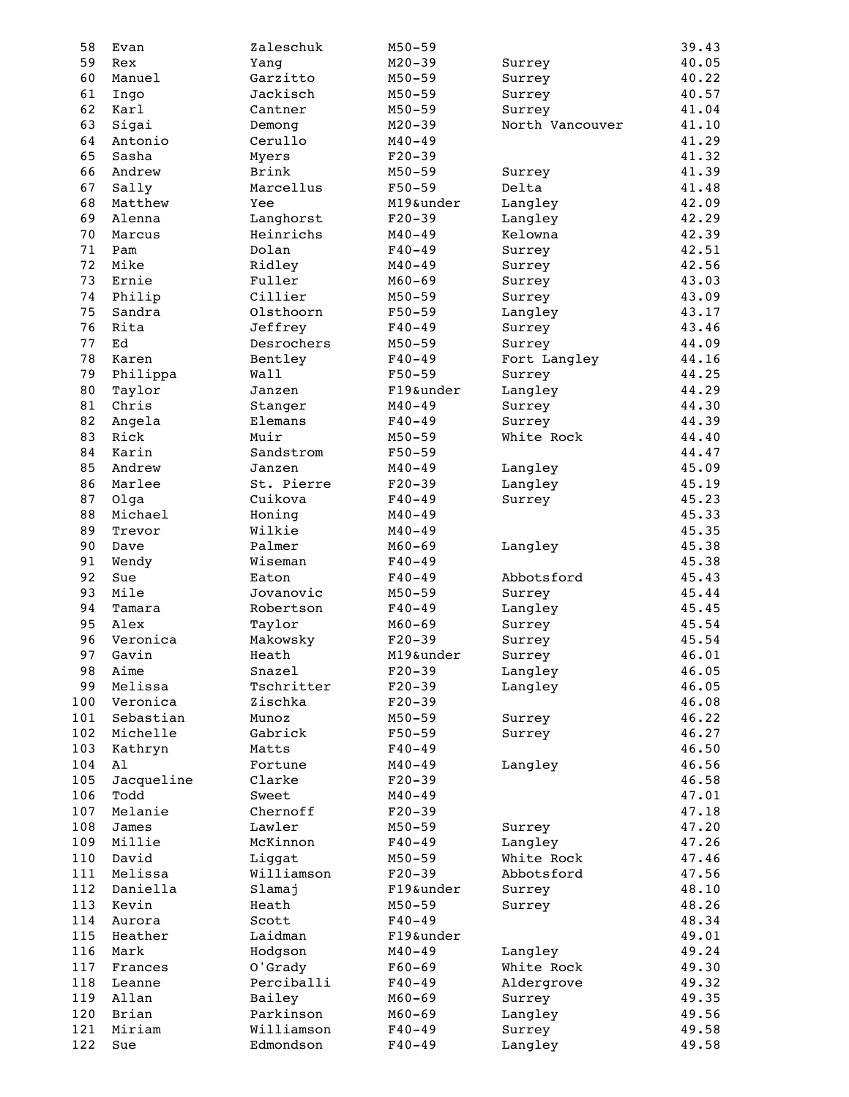| 58  | Evan       | Zaleschuk  | $M50 - 59$ |                 | 39.43 |
|-----|------------|------------|------------|-----------------|-------|
| 59  | Rex        | Yang       | $M20 - 39$ | Surrey          | 40.05 |
| 60  | Manuel     | Garzitto   | $M50 - 59$ | Surrey          | 40.22 |
| 61  | Ingo       | Jackisch   | $M50 - 59$ | Surrey          | 40.57 |
| 62  | Karl       | Cantner    | $M50 - 59$ | Surrey          | 41.04 |
| 63  | Sigai      | Demong     | $M20 - 39$ | North Vancouver | 41.10 |
| 64  | Antonio    | Cerullo    | $M40 - 49$ |                 | 41.29 |
| 65  | Sasha      | Myers      | $F20-39$   |                 | 41.32 |
| 66  | Andrew     | Brink      | $M50 - 59$ | Surrey          | 41.39 |
| 67  | Sally      | Marcellus  | $F50 - 59$ | Delta           | 41.48 |
| 68  | Matthew    | Yee        | M19&under  | Langley         | 42.09 |
| 69  | Alenna     | Langhorst  | $F20-39$   | Langley         | 42.29 |
| 70  | Marcus     | Heinrichs  | $M40 - 49$ | Kelowna         | 42.39 |
| 71  | Pam        | Dolan      | $F40 - 49$ |                 | 42.51 |
|     |            |            |            | Surrey          |       |
| 72  | Mike       | Ridley     | $M40 - 49$ | Surrey          | 42.56 |
| 73  | Ernie      | Fuller     | $M60 - 69$ | Surrey          | 43.03 |
| 74  | Philip     | Cillier    | $M50 - 59$ | Surrey          | 43.09 |
| 75  | Sandra     | Olsthoorn  | $F50 - 59$ | Langley         | 43.17 |
| 76  | Rita       | Jeffrey    | $F40 - 49$ | Surrey          | 43.46 |
| 77  | Ed         | Desrochers | $M50 - 59$ | Surrey          | 44.09 |
| 78  | Karen      | Bentley    | $F40 - 49$ | Fort Langley    | 44.16 |
| 79  | Philippa   | Wall       | $F50 - 59$ | Surrey          | 44.25 |
| 80  | Taylor     | Janzen     | F19&under  | Langley         | 44.29 |
| 81  | Chris      | Stanger    | $M40 - 49$ | Surrey          | 44.30 |
| 82  | Angela     | Elemans    | $F40 - 49$ | Surrey          | 44.39 |
| 83  | Rick       | Muir       | $M50 - 59$ | White Rock      | 44.40 |
| 84  | Karin      | Sandstrom  | $F50 - 59$ |                 | 44.47 |
| 85  | Andrew     | Janzen     | $M40 - 49$ | Langley         | 45.09 |
| 86  | Marlee     | St. Pierre | $F20-39$   | Langley         | 45.19 |
| 87  | Olga       | Cuikova    | $F40 - 49$ | Surrey          | 45.23 |
| 88  | Michael    | Honing     | $M40 - 49$ |                 | 45.33 |
| 89  | Trevor     | Wilkie     | $M40 - 49$ |                 | 45.35 |
| 90  | Dave       | Palmer     | $M60 - 69$ | Langley         | 45.38 |
| 91  |            | Wiseman    | $F40 - 49$ |                 | 45.38 |
| 92  | Wendy      |            |            |                 |       |
|     | Sue        | Eaton      | $F40 - 49$ | Abbotsford      | 45.43 |
| 93  | Mile       | Jovanovic  | $M50 - 59$ | Surrey          | 45.44 |
| 94  | Tamara     | Robertson  | $F40 - 49$ | Langley         | 45.45 |
| 95  | Alex       | Taylor     | $M60 - 69$ | Surrey          | 45.54 |
| 96  | Veronica   | Makowsky   | $F20-39$   | Surrey          | 45.54 |
| 97  | Gavin      | Heath      | M19&under  | Surrey          | 46.01 |
| 98  | Aime       | Snazel     | $F20-39$   | Langley         | 46.05 |
| 99  | Melissa    | Tschritter | $F20-39$   | Langley         | 46.05 |
| 100 | Veronica   | Zischka    | $F20-39$   |                 | 46.08 |
| 101 | Sebastian  | Munoz      | $M50 - 59$ | Surrey          | 46.22 |
| 102 | Michelle   | Gabrick    | $F50 - 59$ | Surrey          | 46.27 |
| 103 | Kathryn    | Matts      | $F40 - 49$ |                 | 46.50 |
| 104 | A1         | Fortune    | $M40 - 49$ | Langley         | 46.56 |
| 105 | Jacqueline | Clarke     | $F20-39$   |                 | 46.58 |
| 106 | Todd       | Sweet      | $M40 - 49$ |                 | 47.01 |
| 107 | Melanie    | Chernoff   | $F20-39$   |                 | 47.18 |
| 108 | James      | Lawler     | $M50 - 59$ | Surrey          | 47.20 |
| 109 | Millie     | McKinnon   | $F40 - 49$ | Langley         | 47.26 |
| 110 | David      | Liggat     | $M50 - 59$ | White Rock      | 47.46 |
| 111 | Melissa    | Williamson | $F20-39$   | Abbotsford      | 47.56 |
|     |            |            |            |                 |       |
| 112 | Daniella   | Slamaj     | F19&under  | Surrey          | 48.10 |
| 113 | Kevin      | Heath      | $M50 - 59$ | Surrey          | 48.26 |
| 114 | Aurora     | Scott      | $F40 - 49$ |                 | 48.34 |
| 115 | Heather    | Laidman    | F19&under  |                 | 49.01 |
| 116 | Mark       | Hodgson    | $M40 - 49$ | Langley         | 49.24 |
| 117 | Frances    | O'Grady    | $F60 - 69$ | White Rock      | 49.30 |
| 118 | Leanne     | Perciballi | $F40 - 49$ | Aldergrove      | 49.32 |
| 119 | Allan      | Bailey     | $M60 - 69$ | Surrey          | 49.35 |
| 120 | Brian      | Parkinson  | $M60 - 69$ | Langley         | 49.56 |
| 121 | Miriam     | Williamson | $F40 - 49$ | Surrey          | 49.58 |
| 122 | Sue        | Edmondson  | $F40 - 49$ | Langley         | 49.58 |